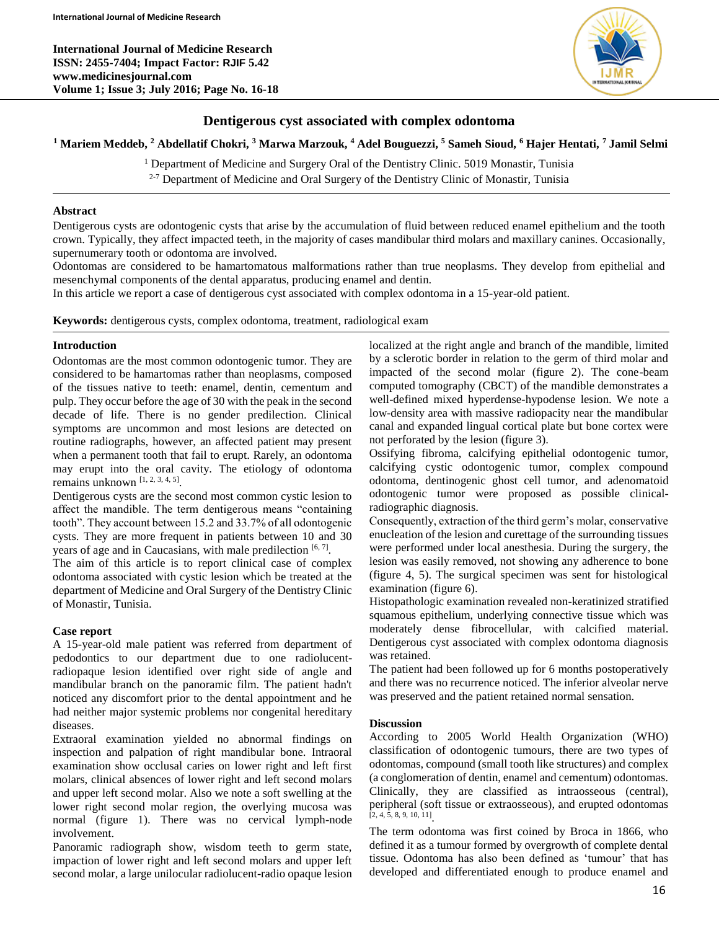**International Journal of Medicine Research ISSN: 2455-7404; Impact Factor: RJIF 5.42 www.medicinesjournal.com Volume 1; Issue 3; July 2016; Page No. 16-18**



# **Dentigerous cyst associated with complex odontoma**

**<sup>1</sup> Mariem Meddeb, <sup>2</sup> Abdellatif Chokri, <sup>3</sup> Marwa Marzouk, <sup>4</sup> Adel Bouguezzi, <sup>5</sup> Sameh Sioud, <sup>6</sup> Hajer Hentati, <sup>7</sup> Jamil Selmi**

<sup>1</sup> Department of Medicine and Surgery Oral of the Dentistry Clinic. 5019 Monastir, Tunisia  $2-7$  Department of Medicine and Oral Surgery of the Dentistry Clinic of Monastir, Tunisia

# **Abstract**

Dentigerous cysts are odontogenic cysts that arise by the accumulation of fluid between reduced enamel epithelium and the tooth crown. Typically, they affect impacted teeth, in the majority of cases mandibular third molars and maxillary canines. Occasionally, supernumerary tooth or odontoma are involved.

Odontomas are considered to be hamartomatous malformations rather than true neoplasms. They develop from epithelial and mesenchymal components of the dental apparatus, producing enamel and dentin.

In this article we report a case of dentigerous cyst associated with complex odontoma in a 15-year-old patient.

**Keywords:** dentigerous cysts, complex odontoma, treatment, radiological exam

# **Introduction**

Odontomas are the most common odontogenic tumor. They are considered to be hamartomas rather than neoplasms, composed of the tissues native to teeth: enamel, dentin, cementum and pulp. They occur before the age of 30 with the peak in the second decade of life. There is no gender predilection. Clinical symptoms are uncommon and most lesions are detected on routine radiographs, however, an affected patient may present when a permanent tooth that fail to erupt. Rarely, an odontoma may erupt into the oral cavity. The etiology of odontoma remains unknown  $[1, 2, 3, 4, 5]$ .

Dentigerous cysts are the second most common cystic lesion to affect the mandible. The term dentigerous means "containing tooth". They account between 15.2 and 33.7% of all odontogenic cysts. They are more frequent in patients between 10 and 30 years of age and in Caucasians, with male predilection [6,7].

The aim of this article is to report clinical case of complex odontoma associated with cystic lesion which be treated at the department of Medicine and Oral Surgery of the Dentistry Clinic of Monastir, Tunisia.

# **Case report**

A 15-year-old male patient was referred from department of pedodontics to our department due to one radiolucentradiopaque lesion identified over right side of angle and mandibular branch on the panoramic film. The patient hadn't noticed any discomfort prior to the dental appointment and he had neither major systemic problems nor congenital hereditary diseases.

Extraoral examination yielded no abnormal findings on inspection and palpation of right mandibular bone. Intraoral examination show occlusal caries on lower right and left first molars, clinical absences of lower right and left second molars and upper left second molar. Also we note a soft swelling at the lower right second molar region, the overlying mucosa was normal (figure 1). There was no cervical lymph-node involvement.

Panoramic radiograph show, wisdom teeth to germ state, impaction of lower right and left second molars and upper left second molar, a large unilocular radiolucent-radio opaque lesion localized at the right angle and branch of the mandible, limited by a sclerotic border in relation to the germ of third molar and impacted of the second molar (figure 2). The cone-beam computed tomography (CBCT) of the mandible demonstrates a well-defined mixed hyperdense-hypodense lesion. We note a low-density area with massive radiopacity near the mandibular canal and expanded lingual cortical plate but bone cortex were not perforated by the lesion (figure 3).

Ossifying fibroma, calcifying epithelial odontogenic tumor, calcifying cystic odontogenic tumor, complex compound odontoma, dentinogenic ghost cell tumor, and adenomatoid odontogenic tumor were proposed as possible clinicalradiographic diagnosis.

Consequently, extraction of the third germ's molar, conservative enucleation of the lesion and curettage of the surrounding tissues were performed under local anesthesia. During the surgery, the lesion was easily removed, not showing any adherence to bone (figure 4, 5). The surgical specimen was sent for histological examination (figure 6).

Histopathologic examination revealed non-keratinized stratified squamous epithelium, underlying connective tissue which was moderately dense fibrocellular, with calcified material. Dentigerous cyst associated with complex odontoma diagnosis was retained.

The patient had been followed up for 6 months postoperatively and there was no recurrence noticed. The inferior alveolar nerve was preserved and the patient retained normal sensation.

### **Discussion**

According to 2005 World Health Organization (WHO) classification of odontogenic tumours, there are two types of odontomas, compound (small tooth like structures) and complex (a conglomeration of dentin, enamel and cementum) odontomas. Clinically, they are classified as intraosseous (central), peripheral (soft tissue or extraosseous), and erupted odontomas [2, 4, 5, 8, 9, 10, 11] .

The term odontoma was first coined by Broca in 1866, who defined it as a tumour formed by overgrowth of complete dental tissue. Odontoma has also been defined as 'tumour' that has developed and differentiated enough to produce enamel and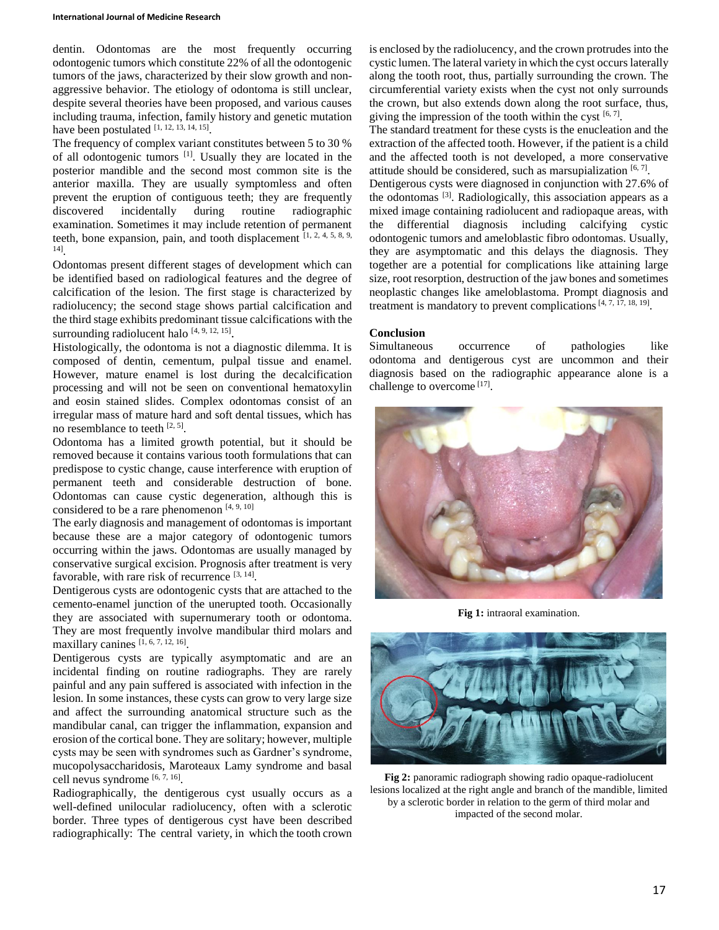#### **International Journal of Medicine Research**

dentin. Odontomas are the most frequently occurring odontogenic tumors which constitute 22% of all the odontogenic tumors of the jaws, characterized by their slow growth and nonaggressive behavior. The etiology of odontoma is still unclear, despite several theories have been proposed, and various causes including trauma, infection, family history and genetic mutation have been postulated  $[1, 12, 13, 14, 15]$ .

The frequency of complex variant constitutes between 5 to 30 % of all odontogenic tumors <sup>[1]</sup>. Usually they are located in the posterior mandible and the second most common site is the anterior maxilla. They are usually symptomless and often prevent the eruption of contiguous teeth; they are frequently discovered incidentally during routine radiographic examination. Sometimes it may include retention of permanent teeth, bone expansion, pain, and tooth displacement  $[1, 2, 4, 5, 8, 9, 4]$ 14] .

Odontomas present different stages of development which can be identified based on radiological features and the degree of calcification of the lesion. The first stage is characterized by radiolucency; the second stage shows partial calcification and the third stage exhibits predominant tissue calcifications with the surrounding radiolucent halo  $[4, 9, 12, 15]$ .

Histologically, the odontoma is not a diagnostic dilemma. It is composed of dentin, cementum, pulpal tissue and enamel. However, mature enamel is lost during the decalcification processing and will not be seen on conventional hematoxylin and eosin stained slides. Complex odontomas consist of an irregular mass of mature hard and soft dental tissues, which has no resemblance to teeth  $[2, 5]$ .

Odontoma has a limited growth potential, but it should be removed because it contains various tooth formulations that can predispose to cystic change, cause interference with eruption of permanent teeth and considerable destruction of bone. Odontomas can cause cystic degeneration, although this is considered to be a rare phenomenon  $[4, 9, 10]$ 

The early diagnosis and management of odontomas is important because these are a major category of odontogenic tumors occurring within the jaws. Odontomas are usually managed by conservative surgical excision. Prognosis after treatment is very favorable, with rare risk of recurrence [3, 14].

Dentigerous cysts are odontogenic cysts that are attached to the cemento-enamel junction of the unerupted tooth. Occasionally they are associated with supernumerary tooth or odontoma. They are most frequently involve mandibular third molars and maxillary canines  $[1, 6, 7, 12, 16]$ .

Dentigerous cysts are typically asymptomatic and are an incidental finding on routine radiographs. They are rarely painful and any pain suffered is associated with infection in the lesion. In some instances, these cysts can grow to very large size and affect the surrounding anatomical structure such as the mandibular canal, can trigger the inflammation, expansion and erosion of the cortical bone. They are solitary; however, multiple cysts may be seen with syndromes such as Gardner's syndrome, mucopolysaccharidosis, Maroteaux Lamy syndrome and basal cell nevus syndrome [6, 7, 16].

Radiographically, the dentigerous cyst usually occurs as a well-defined unilocular radiolucency, often with a sclerotic border. Three types of dentigerous cyst have been described radiographically: The central variety, in which the tooth crown is enclosed by the radiolucency, and the crown protrudes into the cystic lumen. The lateral variety in which the cyst occurs laterally along the tooth root, thus, partially surrounding the crown. The circumferential variety exists when the cyst not only surrounds the crown, but also extends down along the root surface, thus, giving the impression of the tooth within the cyst  $[6, 7]$ .

The standard treatment for these cysts is the enucleation and the extraction of the affected tooth. However, if the patient is a child and the affected tooth is not developed, a more conservative attitude should be considered, such as marsupialization  $[6, 7]$ .

Dentigerous cysts were diagnosed in conjunction with 27.6% of the odontomas<sup>[3]</sup>. Radiologically, this association appears as a mixed image containing radiolucent and radiopaque areas, with the differential diagnosis including calcifying cystic odontogenic tumors and ameloblastic fibro odontomas. Usually, they are asymptomatic and this delays the diagnosis. They together are a potential for complications like attaining large size, root resorption, destruction of the jaw bones and sometimes neoplastic changes like ameloblastoma. Prompt diagnosis and treatment is mandatory to prevent complications  $[4, 7, 17, 18, 19]$ .

# **Conclusion**

Simultaneous occurrence of pathologies like odontoma and dentigerous cyst are uncommon and their diagnosis based on the radiographic appearance alone is a challenge to overcome [17].



**Fig 1:** intraoral examination.



**Fig 2:** panoramic radiograph showing radio opaque-radiolucent lesions localized at the right angle and branch of the mandible, limited by a sclerotic border in relation to the germ of third molar and impacted of the second molar.